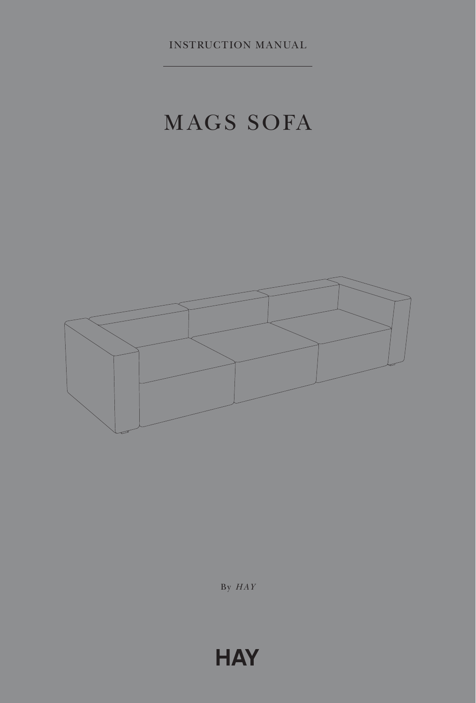INSTRUCTION MANUAL

# MAGS SOFA



By *HAY*

## **HAY**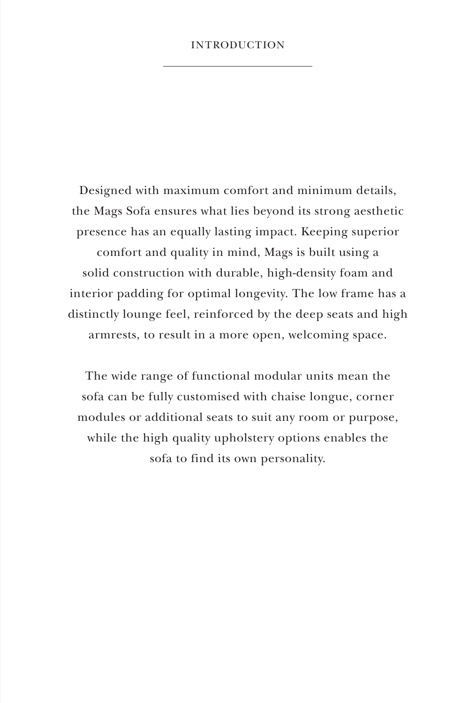### INTRODUCTION

Designed with maximum comfort and minimum details, the Mags Sofa ensures what lies beyond its strong aesthetic presence has an equally lasting impact. Keeping superior comfort and quality in mind, Mags is built using a solid construction with durable, high-density foam and interior padding for optimal longevity. The low frame has a distinctly lounge feel, reinforced by the deep seats and high armrests, to result in a more open, welcoming space.

The wide range of functional modular units mean the sofa can be fully customised with chaise longue, corner modules or additional seats to suit any room or purpose, while the high quality upholstery options enables the sofa to find its own personality.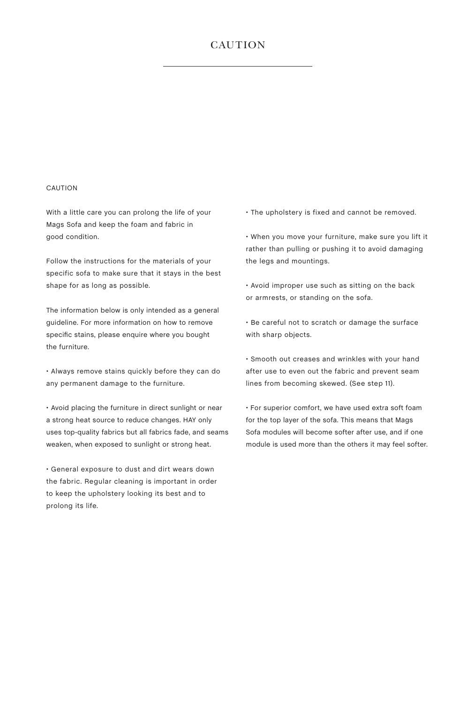## **CAUTION**

#### CAUTION

With a little care you can prolong the life of your Mags Sofa and keep the foam and fabric in good condition.

Follow the instructions for the materials of your specific sofa to make sure that it stays in the best shape for as long as possible.

The information below is only intended as a general guideline. For more information on how to remove specific stains, please enquire where you bought the furniture.

• Always remove stains quickly before they can do any permanent damage to the furniture.

• Avoid placing the furniture in direct sunlight or near a strong heat source to reduce changes. HAY only uses top-quality fabrics but all fabrics fade, and seams weaken, when exposed to sunlight or strong heat.

• General exposure to dust and dirt wears down the fabric. Regular cleaning is important in order to keep the upholstery looking its best and to prolong its life.

• The upholstery is fixed and cannot be removed.

• When you move your furniture, make sure you lift it rather than pulling or pushing it to avoid damaging the legs and mountings.

• Avoid improper use such as sitting on the back or armrests, or standing on the sofa.

• Be careful not to scratch or damage the surface with sharp objects.

• Smooth out creases and wrinkles with your hand after use to even out the fabric and prevent seam lines from becoming skewed. (See step 11).

• For superior comfort, we have used extra soft foam for the top layer of the sofa. This means that Mags Sofa modules will become softer after use, and if one module is used more than the others it may feel softer.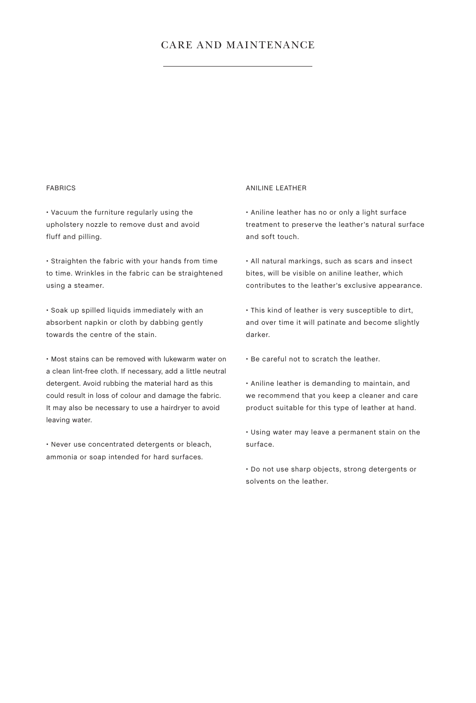## CARE AND MAINTENANCE

#### FABRICS

• Vacuum the furniture regularly using the upholstery nozzle to remove dust and avoid fluff and pilling.

• Straighten the fabric with your hands from time to time. Wrinkles in the fabric can be straightened using a steamer.

• Soak up spilled liquids immediately with an absorbent napkin or cloth by dabbing gently towards the centre of the stain.

• Most stains can be removed with lukewarm water on a clean lint-free cloth. If necessary, add a little neutral detergent. Avoid rubbing the material hard as this could result in loss of colour and damage the fabric. It may also be necessary to use a hairdryer to avoid leaving water.

• Never use concentrated detergents or bleach, ammonia or soap intended for hard surfaces.

#### ANILINE LEATHER

• Aniline leather has no or only a light surface treatment to preserve the leather's natural surface and soft touch.

• All natural markings, such as scars and insect bites, will be visible on aniline leather, which contributes to the leather's exclusive appearance.

• This kind of leather is very susceptible to dirt, and over time it will patinate and become slightly darker.

• Be careful not to scratch the leather.

• Aniline leather is demanding to maintain, and we recommend that you keep a cleaner and care product suitable for this type of leather at hand.

• Using water may leave a permanent stain on the surface.

• Do not use sharp objects, strong detergents or solvents on the leather.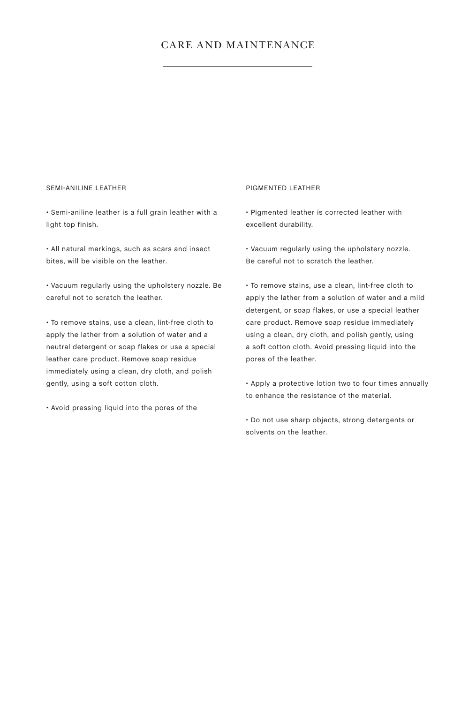## CARE AND MAINTENANCE

#### SEMI-ANILINE LEATHER

• Semi-aniline leather is a full grain leather with a light top finish.

• All natural markings, such as scars and insect bites, will be visible on the leather.

• Vacuum regularly using the upholstery nozzle. Be careful not to scratch the leather.

• To remove stains, use a clean, lint-free cloth to apply the lather from a solution of water and a neutral detergent or soap flakes or use a special leather care product. Remove soap residue immediately using a clean, dry cloth, and polish gently, using a soft cotton cloth.

• Avoid pressing liquid into the pores of the

#### PIGMENTED LEATHER

• Pigmented leather is corrected leather with excellent durability.

• Vacuum regularly using the upholstery nozzle. Be careful not to scratch the leather.

• To remove stains, use a clean, lint-free cloth to apply the lather from a solution of water and a mild detergent, or soap flakes, or use a special leather care product. Remove soap residue immediately using a clean, dry cloth, and polish gently, using a soft cotton cloth. Avoid pressing liquid into the pores of the leather.

• Apply a protective lotion two to four times annually to enhance the resistance of the material.

• Do not use sharp objects, strong detergents or solvents on the leather.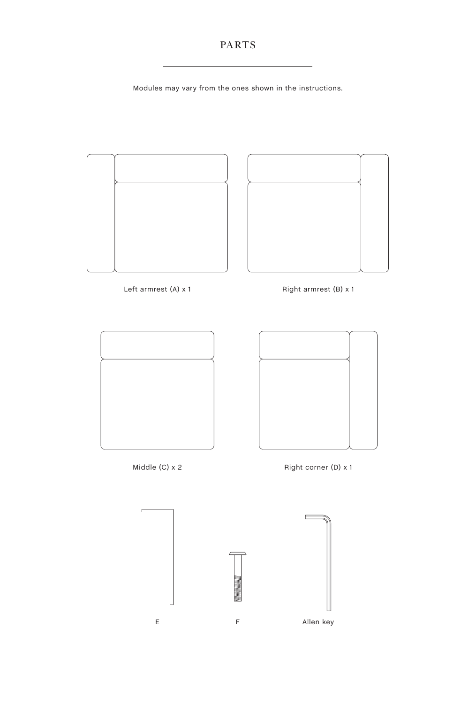Modules may vary from the ones shown in the instructions.

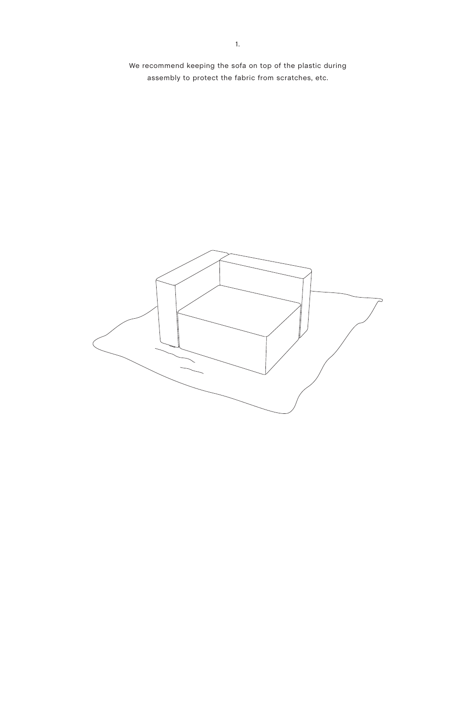We recommend keeping the sofa on top of the plastic during assembly to protect the fabric from scratches, etc.

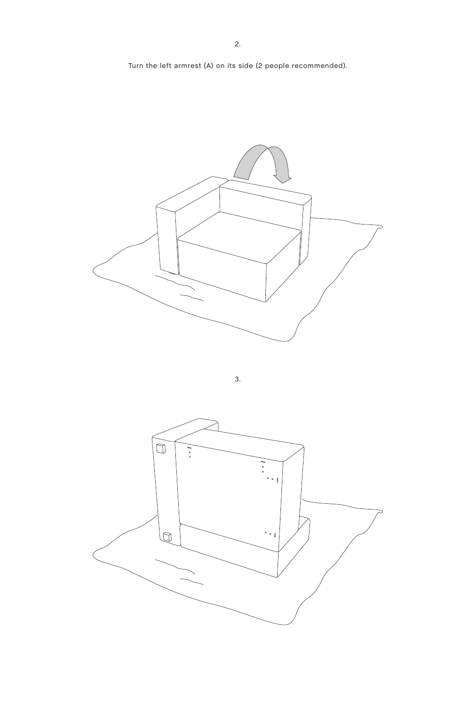Turn the left armrest (A) on its side (2 people recommended).



3.

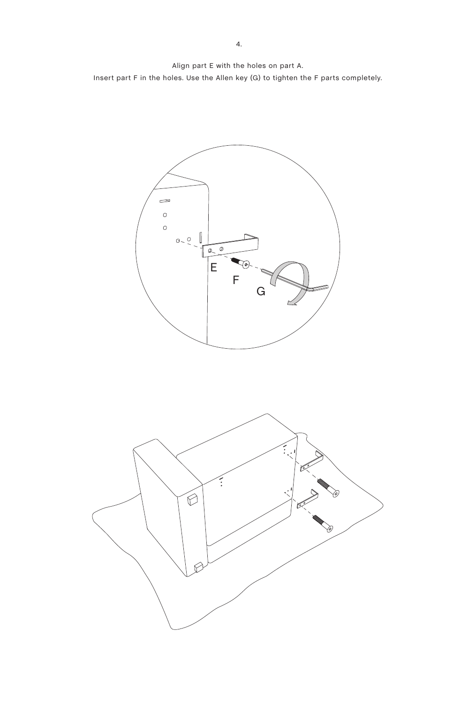Align part E with the holes on part A. Insert part F in the holes. Use the Allen key (G) to tighten the F parts completely.



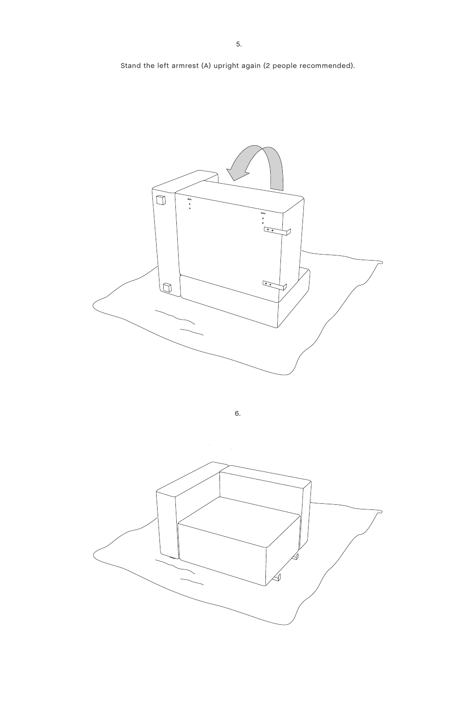Stand the left armrest (A) upright again (2 people recommended).



6.

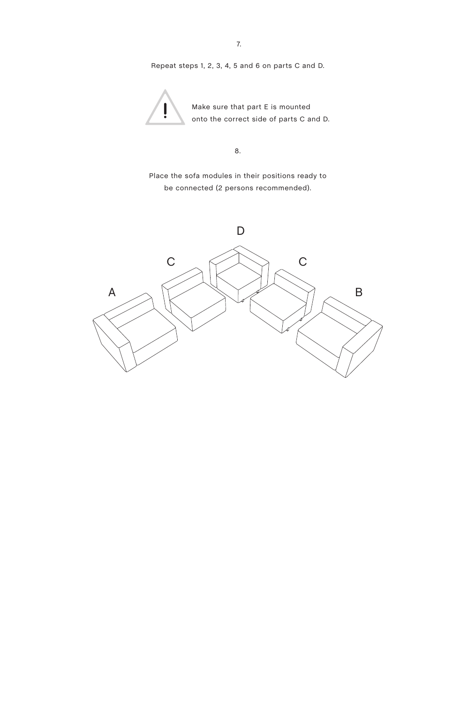Repeat steps 1, 2, 3, 4, 5 and 6 on parts C and D.



Make sure that part E is mounted onto the correct side of parts C and D.

8.

Place the sofa modules in their positions ready to be connected (2 persons recommended).

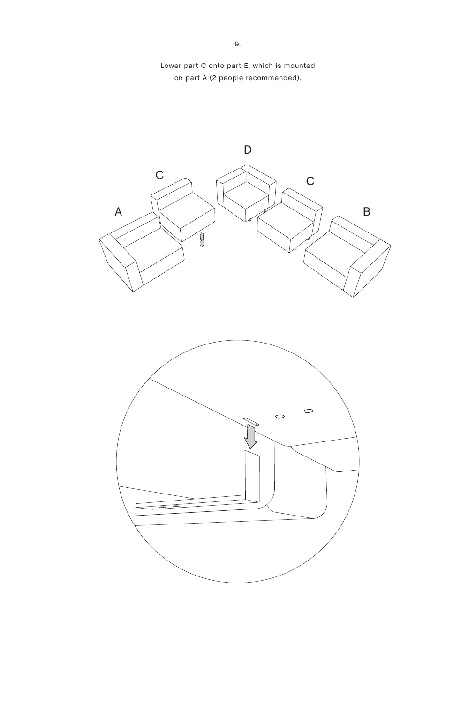

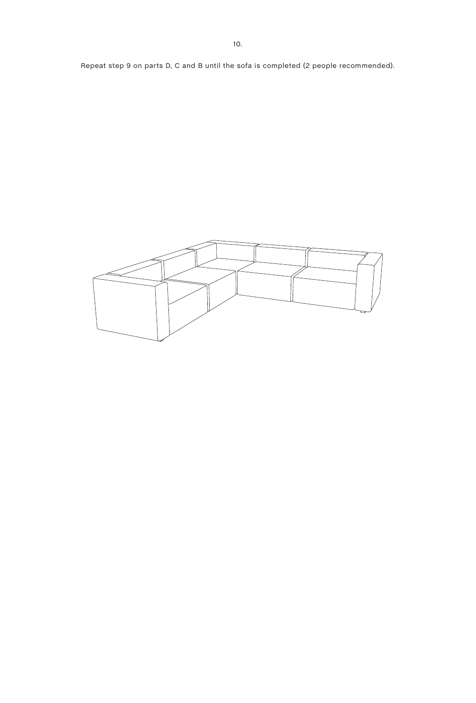Repeat step 9 on parts D, C and B until the sofa is completed (2 people recommended).

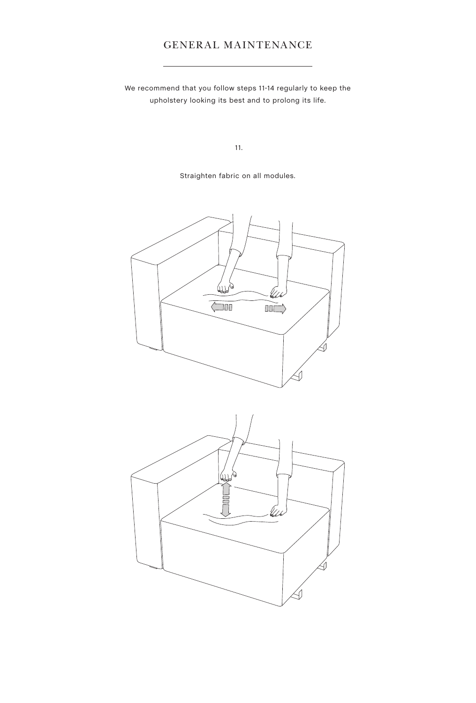## GENERAL MAINTENANCE

We recommend that you follow steps 11-14 regularly to keep the upholstery looking its best and to prolong its life.

11.

Straighten fabric on all modules.



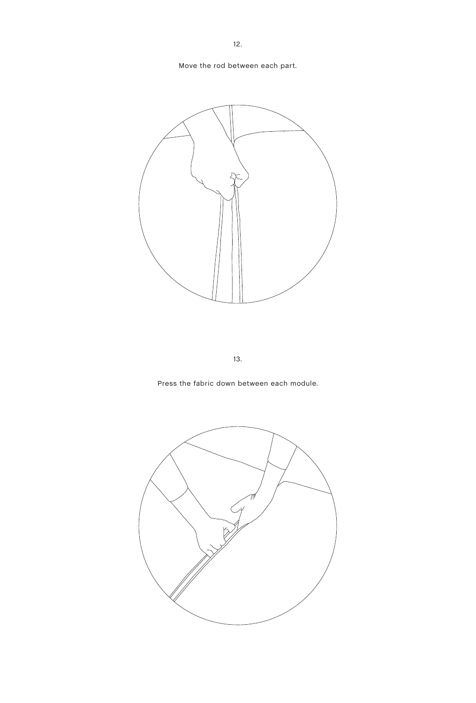Move the rod between each part.



13.

Press the fabric down between each module.

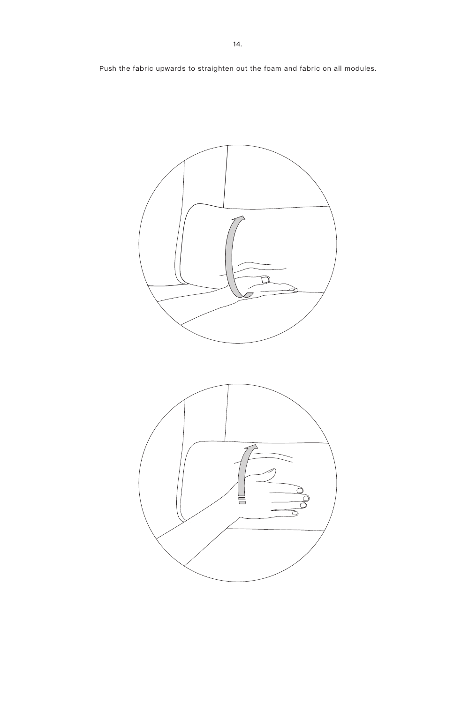Push the fabric upwards to straighten out the foam and fabric on all modules.